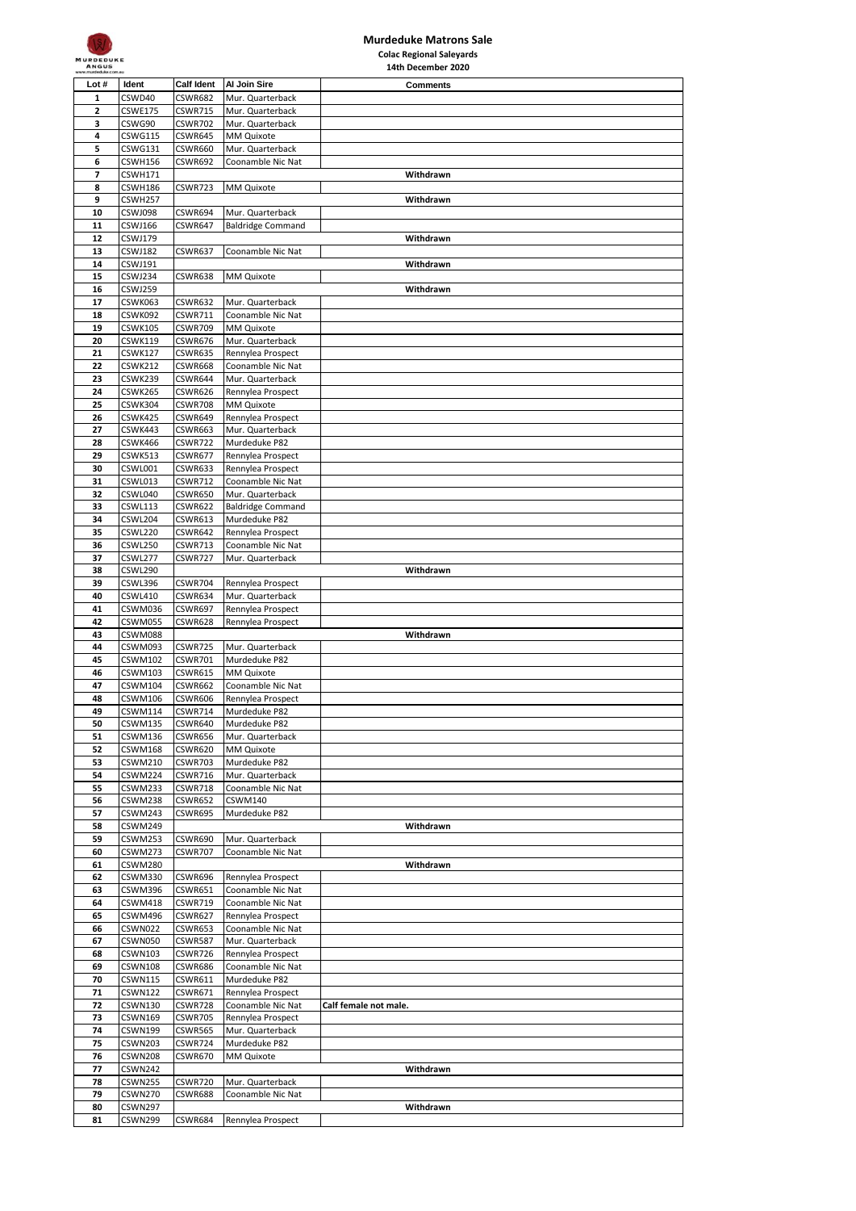

## **Murdeduke Matrons Sale Colac Regional Saleyards**

| <b>ANGUS</b>                                                           |                |                |                          | 14th December 2020    |  |
|------------------------------------------------------------------------|----------------|----------------|--------------------------|-----------------------|--|
| <b>Calf Ident</b><br>Lot #<br>Al Join Sire<br>Ident<br><b>Comments</b> |                |                |                          |                       |  |
| 1                                                                      | CSWD40         | <b>CSWR682</b> | Mur. Quarterback         |                       |  |
| $\overline{\mathbf{c}}$                                                | <b>CSWE175</b> | <b>CSWR715</b> | Mur. Quarterback         |                       |  |
| 3                                                                      | CSWG90         | CSWR702        | Mur. Quarterback         |                       |  |
| 4                                                                      | <b>CSWG115</b> | <b>CSWR645</b> | MM Quixote               |                       |  |
| 5                                                                      | CSWG131        | CSWR660        | Mur. Quarterback         |                       |  |
| 6                                                                      | CSWH156        | <b>CSWR692</b> | Coonamble Nic Nat        |                       |  |
| 7                                                                      | <b>CSWH171</b> |                |                          | Withdrawn             |  |
| 8                                                                      | CSWH186        | CSWR723        | MM Quixote               |                       |  |
| 9                                                                      |                |                |                          |                       |  |
|                                                                        | CSWH257        |                |                          | Withdrawn             |  |
| 10                                                                     | CSWJ098        | CSWR694        | Mur. Quarterback         |                       |  |
| 11                                                                     | CSWJ166        | CSWR647        | <b>Baldridge Command</b> |                       |  |
| 12                                                                     | CSWJ179        |                |                          | Withdrawn             |  |
| 13                                                                     | CSWJ182        | <b>CSWR637</b> | Coonamble Nic Nat        |                       |  |
| 14                                                                     | CSWJ191        |                |                          | Withdrawn             |  |
| 15                                                                     | CSWJ234        | CSWR638        | MM Quixote               |                       |  |
| 16                                                                     | CSWJ259        |                |                          | Withdrawn             |  |
| 17                                                                     | CSWK063        | CSWR632        | Mur. Quarterback         |                       |  |
| 18                                                                     | CSWK092        | CSWR711        | Coonamble Nic Nat        |                       |  |
| 19                                                                     | <b>CSWK105</b> | CSWR709        | MM Quixote               |                       |  |
| 20                                                                     | CSWK119        | CSWR676        | Mur. Quarterback         |                       |  |
| 21                                                                     | <b>CSWK127</b> | <b>CSWR635</b> | Rennylea Prospect        |                       |  |
| 22                                                                     | <b>CSWK212</b> | CSWR668        | Coonamble Nic Nat        |                       |  |
| 23                                                                     | CSWK239        | CSWR644        | Mur. Quarterback         |                       |  |
| 24                                                                     | CSWK265        | CSWR626        | Rennylea Prospect        |                       |  |
| 25                                                                     | CSWK304        | <b>CSWR708</b> | MM Quixote               |                       |  |
| 26                                                                     | CSWK425        | CSWR649        | Rennylea Prospect        |                       |  |
| 27                                                                     | CSWK443        | CSWR663        | Mur. Quarterback         |                       |  |
| 28                                                                     | CSWK466        | CSWR722        | Murdeduke P82            |                       |  |
|                                                                        |                |                |                          |                       |  |
| 29                                                                     | CSWK513        | <b>CSWR677</b> | Rennylea Prospect        |                       |  |
| 30                                                                     | CSWL001        | CSWR633        | Rennylea Prospect        |                       |  |
| 31                                                                     | CSWL013        | <b>CSWR712</b> | Coonamble Nic Nat        |                       |  |
| 32                                                                     | CSWL040        | CSWR650        | Mur. Quarterback         |                       |  |
| 33                                                                     | <b>CSWL113</b> | <b>CSWR622</b> | <b>Baldridge Command</b> |                       |  |
| 34                                                                     | CSWL204        | CSWR613        | Murdeduke P82            |                       |  |
| 35                                                                     | CSWL220        | CSWR642        | Rennylea Prospect        |                       |  |
| 36                                                                     | CSWL250        | CSWR713        | Coonamble Nic Nat        |                       |  |
| 37                                                                     | CSWL277        | CSWR727        | Mur. Quarterback         |                       |  |
| 38                                                                     | CSWL290        |                |                          | Withdrawn             |  |
| 39                                                                     | CSWL396        | CSWR704        | Rennylea Prospect        |                       |  |
| 40                                                                     | CSWL410        | CSWR634        | Mur. Quarterback         |                       |  |
| 41                                                                     | CSWM036        | <b>CSWR697</b> | Rennylea Prospect        |                       |  |
| 42                                                                     | CSWM055        | CSWR628        | Rennylea Prospect        |                       |  |
| 43                                                                     | CSWM088        |                |                          | Withdrawn             |  |
| 44                                                                     | CSWM093        | CSWR725        | Mur. Quarterback         |                       |  |
| 45                                                                     | CSWM102        | CSWR701        | Murdeduke P82            |                       |  |
| 46                                                                     | <b>CSWM103</b> | <b>CSWR615</b> | MM Quixote               |                       |  |
| 47                                                                     | CSWM104        | CSWR662        | Coonamble Nic Nat        |                       |  |
| 48                                                                     | CSWM106        | CSWR606        | Rennylea Prospect        |                       |  |
| 49                                                                     | CSWM114        | CSWR/14        | Murdeduke P82            |                       |  |
| 50                                                                     | CSWM135        | CSWR640        | Murdeduke P82            |                       |  |
| 51                                                                     | CSWM136        | CSWR656        | Mur. Quarterback         |                       |  |
| 52                                                                     | <b>CSWM168</b> | CSWR620        | MM Quixote               |                       |  |
| 53                                                                     | CSWM210        | CSWR703        | Murdeduke P82            |                       |  |
| 54                                                                     | CSWM224        | <b>CSWR716</b> | Mur. Quarterback         |                       |  |
| 55                                                                     | CSWM233        | <b>CSWR718</b> | Coonamble Nic Nat        |                       |  |
| 56                                                                     | CSWM238        | CSWR652        | CSWM140                  |                       |  |
| 57                                                                     | CSWM243        | <b>CSWR695</b> | Murdeduke P82            |                       |  |
| 58                                                                     | CSWM249        |                |                          | Withdrawn             |  |
| 59                                                                     | CSWM253        | CSWR690        | Mur. Quarterback         |                       |  |
| 60                                                                     | CSWM273        | <b>CSWR707</b> | Coonamble Nic Nat        |                       |  |
| 61                                                                     | CSWM280        |                |                          | Withdrawn             |  |
|                                                                        |                |                |                          |                       |  |
| 62                                                                     | CSWM330        | CSWR696        | Rennylea Prospect        |                       |  |
| 63                                                                     | CSWM396        | CSWR651        | Coonamble Nic Nat        |                       |  |
| 64                                                                     | CSWM418        | CSWR719        | Coonamble Nic Nat        |                       |  |
| 65                                                                     | CSWM496        | CSWR627        | Rennylea Prospect        |                       |  |
| 66                                                                     | CSWN022        | CSWR653        | Coonamble Nic Nat        |                       |  |
| 67                                                                     | CSWN050        | CSWR587        | Mur. Quarterback         |                       |  |
| 68                                                                     | CSWN103        | CSWR726        | Rennylea Prospect        |                       |  |
| 69                                                                     | CSWN108        | CSWR686        | Coonamble Nic Nat        |                       |  |
| 70                                                                     | CSWN115        | CSWR611        | Murdeduke P82            |                       |  |
| 71                                                                     | <b>CSWN122</b> | <b>CSWR671</b> | Rennylea Prospect        |                       |  |
| 72                                                                     | CSWN130        | CSWR728        | Coonamble Nic Nat        | Calf female not male. |  |
| 73                                                                     | <b>CSWN169</b> | <b>CSWR705</b> | Rennylea Prospect        |                       |  |
| 74                                                                     | <b>CSWN199</b> | CSWR565        | Mur. Quarterback         |                       |  |
| 75                                                                     | CSWN203        | CSWR724        | Murdeduke P82            |                       |  |
| 76                                                                     | CSWN208        | CSWR670        | MM Quixote               |                       |  |
| 77                                                                     | CSWN242        |                |                          | Withdrawn             |  |
| 78                                                                     | CSWN255        | CSWR720        | Mur. Quarterback         |                       |  |
| 79                                                                     | CSWN270        | <b>CSWR688</b> | Coonamble Nic Nat        |                       |  |
| 80                                                                     | <b>CSWN297</b> |                |                          | Withdrawn             |  |
| 81                                                                     | CSWN299        | CSWR684        | Rennylea Prospect        |                       |  |